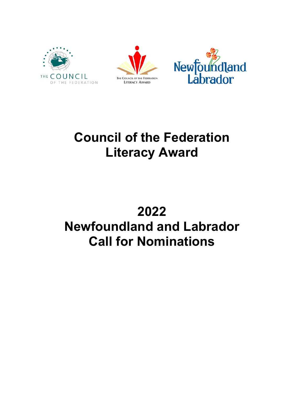





# **Council of the Federation Literacy Award**

# **2022 Newfoundland and Labrador Call for Nominations**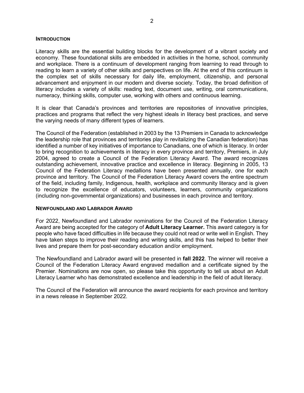#### **INTRODUCTION**

Literacy skills are the essential building blocks for the development of a vibrant society and economy. These foundational skills are embedded in activities in the home, school, community and workplace. There is a continuum of development ranging from learning to read through to reading to learn a variety of other skills and perspectives on life. At the end of this continuum is the complex set of skills necessary for daily life, employment, citizenship, and personal advancement and enjoyment in our modern and diverse society. Today, the broad definition of literacy includes a variety of skills: reading text, document use, writing, oral communications, numeracy, thinking skills, computer use, working with others and continuous learning.

It is clear that Canada's provinces and territories are repositories of innovative principles, practices and programs that reflect the very highest ideals in literacy best practices, and serve the varying needs of many different types of learners.

The Council of the Federation (established in 2003 by the 13 Premiers in Canada to acknowledge the leadership role that provinces and territories play in revitalizing the Canadian federation) has identified a number of key initiatives of importance to Canadians, one of which is literacy. In order to bring recognition to achievements in literacy in every province and territory, Premiers, in July 2004, agreed to create a Council of the Federation Literacy Award. The award recognizes outstanding achievement, innovative practice and excellence in literacy. Beginning in 2005, 13 Council of the Federation Literacy medallions have been presented annually, one for each province and territory. The Council of the Federation Literacy Award covers the entire spectrum of the field, including family, Indigenous, health, workplace and community literacy and is given to recognize the excellence of educators, volunteers, learners, community organizations (including non-governmental organizations) and businesses in each province and territory.

#### **NEWFOUNDLAND AND LABRADOR AWARD**

For 2022, Newfoundland and Labrador nominations for the Council of the Federation Literacy Award are being accepted for the category of **Adult Literacy Learner.** This award category is for people who have faced difficulties in life because they could not read or write well in English. They have taken steps to improve their reading and writing skills, and this has helped to better their lives and prepare them for post-secondary education and/or employment.

The Newfoundland and Labrador award will be presented in **fall 2022**. The winner will receive a Council of the Federation Literacy Award engraved medallion and a certificate signed by the Premier. Nominations are now open, so please take this opportunity to tell us about an Adult Literacy Learner who has demonstrated excellence and leadership in the field of adult literacy.

The Council of the Federation will announce the award recipients for each province and territory in a news release in September 2022.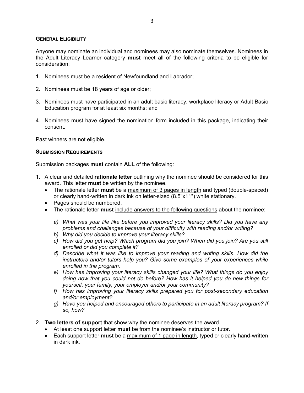#### **GENERAL ELIGIBILITY**

Anyone may nominate an individual and nominees may also nominate themselves. Nominees in the Adult Literacy Learner category **must** meet all of the following criteria to be eligible for consideration:

- 1. Nominees must be a resident of Newfoundland and Labrador;
- 2. Nominees must be 18 years of age or older;
- 3. Nominees must have participated in an adult basic literacy, workplace literacy or Adult Basic Education program for at least six months; and
- 4. Nominees must have signed the nomination form included in this package, indicating their consent.

Past winners are not eligible.

#### **SUBMISSION REQUIREMENTS**

Submission packages **must** contain **ALL** of the following:

- 1. A clear and detailed **rationale letter** outlining why the nominee should be considered for this award. This letter **must** be written by the nominee.
	- The rationale letter **must** be a maximum of 3 pages in length and typed (double-spaced) or clearly hand-written in dark ink on letter-sized (8.5"x11") white stationary.
	- Pages should be numbered.
	- The rationale letter **must** include answers to the following questions about the nominee:
		- *a) What was your life like before you improved your literacy skills? Did you have any problems and challenges because of your difficulty with reading and/or writing?*
		- *b) Why did you decide to improve your literacy skills?*
		- *c) How did you get help? Which program did you join? When did you join? Are you still enrolled or did you complete it?*
		- *d) Describe what it was like to improve your reading and writing skills. How did the instructors and/or tutors help you? Give some examples of your experiences while enrolled in the program.*
		- *e) How has improving your literacy skills changed your life? What things do you enjoy doing now that you could not do before? How has it helped you do new things for yourself, your family, your employer and/or your community?*
		- *f) How has improving your literacy skills prepared you for post-secondary education and/or employment?*
		- *g) Have you helped and encouraged others to participate in an adult literacy program? If so, how?*
- 2. **Two letters of support** that show why the nominee deserves the award.
	- At least one support letter **must** be from the nominee's instructor or tutor.
	- Each support letter **must** be a maximum of 1 page in length, typed or clearly hand-written in dark ink.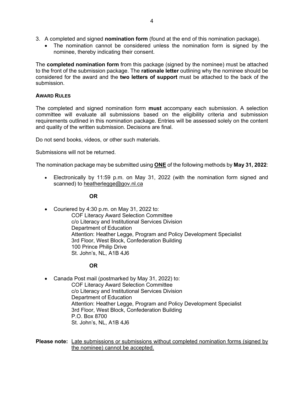- 3. A completed and signed **nomination form** (found at the end of this nomination package).
	- The nomination cannot be considered unless the nomination form is signed by the nominee, thereby indicating their consent.

The **completed nomination form** from this package (signed by the nominee) must be attached to the front of the submission package. The **rationale letter** outlining why the nominee should be considered for the award and the **two letters of support** must be attached to the back of the submission.

### **AWARD RULES**

The completed and signed nomination form **must** accompany each submission. A selection committee will evaluate all submissions based on the eligibility criteria and submission requirements outlined in this nomination package. Entries will be assessed solely on the content and quality of the written submission. Decisions are final.

Do not send books, videos, or other such materials.

Submissions will not be returned.

The nomination package may be submitted using **ONE** of the following methods by **May 31, 2022**:

• Electronically by 11:59 p.m. on May 31, 2022 (with the nomination form signed and scanned) to [heatherlegge@gov.nl.ca](mailto:heatherlegge@gov.nl.ca)

**OR**

• Couriered by 4:30 p.m. on May 31, 2022 to: COF Literacy Award Selection Committee c/o Literacy and Institutional Services Division Department of Education Attention: Heather Legge, Program and Policy Development Specialist 3rd Floor, West Block, Confederation Building 100 Prince Philip Drive St. John's, NL, A1B 4J6

## **OR**

• Canada Post mail (postmarked by May 31, 2022) to: COF Literacy Award Selection Committee c/o Literacy and Institutional Services Division Department of Education Attention: Heather Legge, Program and Policy Development Specialist 3rd Floor, West Block, Confederation Building P.O. Box 8700 St. John's, NL, A1B 4J6

**Please note:** Late submissions or submissions without completed nomination forms (signed by the nominee) cannot be accepted.